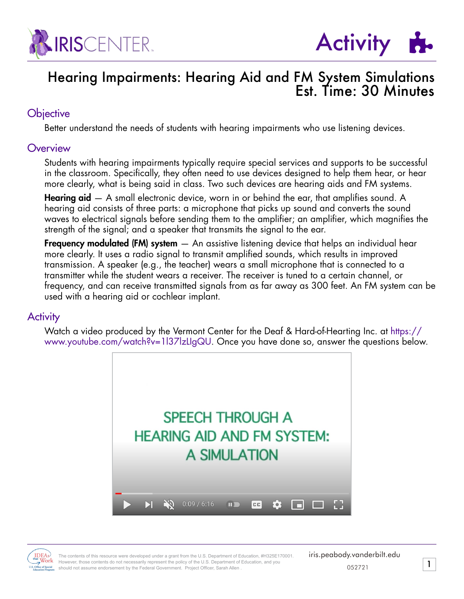



## Hearing Impairments: Hearing Aid and FM System Simulations Est. Time: 30 Minutes

#### **Objective**

Better understand the needs of students with hearing impairments who use listening devices.

#### **Overview**

Students with hearing impairments typically require special services and supports to be successful in the classroom. Specifically, they often need to use devices designed to help them hear, or hear more clearly, what is being said in class. Two such devices are hearing aids and FM systems.

**Hearing aid**  $-$  A small electronic device, worn in or behind the ear, that amplifies sound. A hearing aid consists of three parts: a microphone that picks up sound and converts the sound waves to electrical signals before sending them to the amplifier; an amplifier, which magnifies the strength of the signal; and a speaker that transmits the signal to the ear.

**Frequency modulated (FM) system**  $-$  An assistive listening device that helps an individual hear more clearly. It uses a radio signal to transmit amplified sounds, which results in improved transmission. A speaker (e.g., the teacher) wears a small microphone that is connected to a transmitter while the student wears a receiver. The receiver is tuned to a certain channel, or frequency, and can receive transmitted signals from as far away as 300 feet. An FM system can be used with a hearing aid or cochlear implant.

#### **Activity**

Watch a video produced by the Vermont Center for the Deaf & Hard-of-Hearting Inc. at https:// www.youtube.com/watch?v=1l37lzLIgQU. Once you have done so, answer the questions below.